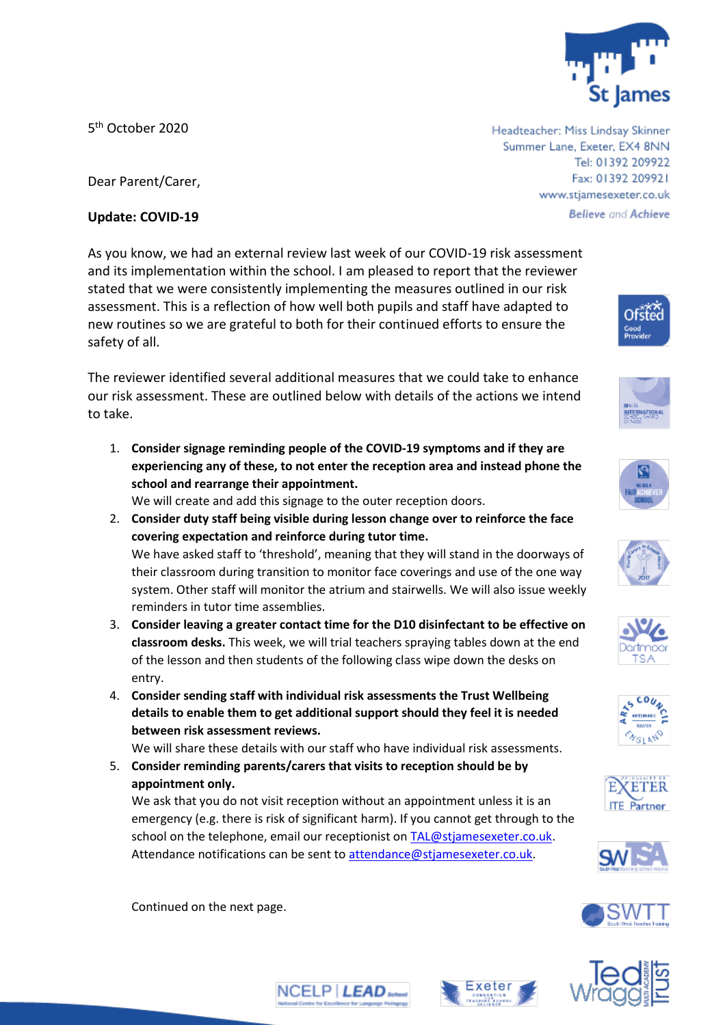

Tel: 01392 209922 Fax: 01392 209921 www.stjamesexeter.co.uk

**Believe and Achieve** 

Headteacher: Miss Lindsay Skinner Summer Lane, Exeter, EX4 8NN

5<sup>th</sup> October 2020

Dear Parent/Carer,

## **Update: COVID-19**

As you know, we had an external review last week of our COVID-19 risk assessment and its implementation within the school. I am pleased to report that the reviewer stated that we were consistently implementing the measures outlined in our risk assessment. This is a reflection of how well both pupils and staff have adapted to new routines so we are grateful to both for their continued efforts to ensure the safety of all.

The reviewer identified several additional measures that we could take to enhance our risk assessment. These are outlined below with details of the actions we intend to take.

1. **Consider signage reminding people of the COVID-19 symptoms and if they are experiencing any of these, to not enter the reception area and instead phone the school and rearrange their appointment.**

We will create and add this signage to the outer reception doors.

- 2. **Consider duty staff being visible during lesson change over to reinforce the face covering expectation and reinforce during tutor time.** We have asked staff to 'threshold', meaning that they will stand in the doorways of their classroom during transition to monitor face coverings and use of the one way system. Other staff will monitor the atrium and stairwells. We will also issue weekly reminders in tutor time assemblies.
- 3. **Consider leaving a greater contact time for the D10 disinfectant to be effective on classroom desks.** This week, we will trial teachers spraying tables down at the end of the lesson and then students of the following class wipe down the desks on entry.
- 4. **Consider sending staff with individual risk assessments the Trust Wellbeing details to enable them to get additional support should they feel it is needed between risk assessment reviews.**

We will share these details with our staff who have individual risk assessments.

5. **Consider reminding parents/carers that visits to reception should be by appointment only.**

We ask that you do not visit reception without an appointment unless it is an emergency (e.g. there is risk of significant harm). If you cannot get through to the school on the telephone, email our receptionist on [TAL@stjamesexeter.co.uk.](mailto:TAL@stjamesexeter.co.uk) Attendance notifications can be sent to [attendance@stjamesexeter.co.uk.](mailto:attendance@stjamesexeter.co.uk)

Continued on the next page.